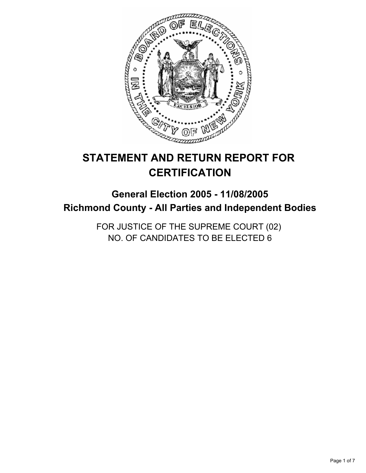

# **STATEMENT AND RETURN REPORT FOR CERTIFICATION**

# **General Election 2005 - 11/08/2005 Richmond County - All Parties and Independent Bodies**

FOR JUSTICE OF THE SUPREME COURT (02) NO. OF CANDIDATES TO BE ELECTED 6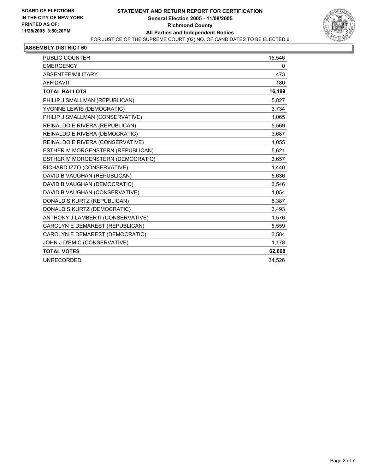

| <b>PUBLIC COUNTER</b>             | 15,546 |
|-----------------------------------|--------|
| <b>EMERGENCY</b>                  | 0      |
| ABSENTEE/MILITARY                 | 473    |
| <b>AFFIDAVIT</b>                  | 180    |
| <b>TOTAL BALLOTS</b>              | 16,199 |
| PHILIP J SMALLMAN (REPUBLICAN)    | 5,827  |
| YVONNE LEWIS (DEMOCRATIC)         | 3,734  |
| PHILIP J SMALLMAN (CONSERVATIVE)  | 1,065  |
| REINALDO E RIVERA (REPUBLICAN)    | 5.569  |
| REINALDO E RIVERA (DEMOCRATIC)    | 3,687  |
| REINALDO E RIVERA (CONSERVATIVE)  | 1,055  |
| ESTHER M MORGENSTERN (REPUBLICAN) | 5,621  |
| ESTHER M MORGENSTERN (DEMOCRATIC) | 3,657  |
| RICHARD IZZO (CONSERVATIVE)       | 1,440  |
| DAVID B VAUGHAN (REPUBLICAN)      | 5,636  |
| DAVID B VAUGHAN (DEMOCRATIC)      | 3,546  |
| DAVID B VAUGHAN (CONSERVATIVE)    | 1,054  |
| DONALD S KURTZ (REPUBLICAN)       | 5,387  |
| DONALD S KURTZ (DEMOCRATIC)       | 3,493  |
| ANTHONY J LAMBERTI (CONSERVATIVE) | 1,576  |
| CAROLYN E DEMAREST (REPUBLICAN)   | 5,559  |
| CAROLYN E DEMAREST (DEMOCRATIC)   | 3,584  |
| JOHN J D'EMIC (CONSERVATIVE)      | 1,178  |
| <b>TOTAL VOTES</b>                | 62,668 |
| <b>UNRECORDED</b>                 | 34,526 |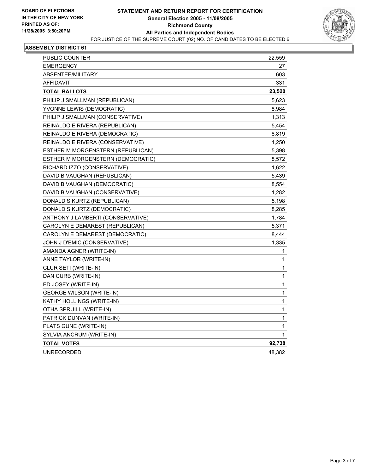

| PUBLIC COUNTER                    | 22,559 |
|-----------------------------------|--------|
| <b>EMERGENCY</b>                  | 27     |
| ABSENTEE/MILITARY                 | 603    |
| <b>AFFIDAVIT</b>                  | 331    |
| <b>TOTAL BALLOTS</b>              | 23,520 |
| PHILIP J SMALLMAN (REPUBLICAN)    | 5,623  |
| YVONNE LEWIS (DEMOCRATIC)         | 8,984  |
| PHILIP J SMALLMAN (CONSERVATIVE)  | 1,313  |
| REINALDO E RIVERA (REPUBLICAN)    | 5,454  |
| REINALDO E RIVERA (DEMOCRATIC)    | 8,819  |
| REINALDO E RIVERA (CONSERVATIVE)  | 1,250  |
| ESTHER M MORGENSTERN (REPUBLICAN) | 5,398  |
| ESTHER M MORGENSTERN (DEMOCRATIC) | 8,572  |
| RICHARD IZZO (CONSERVATIVE)       | 1,622  |
| DAVID B VAUGHAN (REPUBLICAN)      | 5,439  |
| DAVID B VAUGHAN (DEMOCRATIC)      | 8,554  |
| DAVID B VAUGHAN (CONSERVATIVE)    | 1,282  |
| DONALD S KURTZ (REPUBLICAN)       | 5,198  |
| DONALD S KURTZ (DEMOCRATIC)       | 8,285  |
| ANTHONY J LAMBERTI (CONSERVATIVE) | 1,784  |
| CAROLYN E DEMAREST (REPUBLICAN)   | 5,371  |
| CAROLYN E DEMAREST (DEMOCRATIC)   | 8,444  |
| JOHN J D'EMIC (CONSERVATIVE)      | 1,335  |
| AMANDA AGNER (WRITE-IN)           | 1      |
| ANNE TAYLOR (WRITE-IN)            | 1      |
| CLUR SETI (WRITE-IN)              | 1      |
| DAN CURB (WRITE-IN)               | 1      |
| ED JOSEY (WRITE-IN)               | 1      |
| GEORGE WILSON (WRITE-IN)          | 1      |
| KATHY HOLLINGS (WRITE-IN)         | 1      |
| OTHA SPRUILL (WRITE-IN)           | 1      |
| PATRICK DUNVAN (WRITE-IN)         | 1      |
| PLATS GUNE (WRITE-IN)             | 1      |
| SYLVIA ANCRUM (WRITE-IN)          | 1      |
| <b>TOTAL VOTES</b>                | 92,738 |
| <b>UNRECORDED</b>                 | 48,382 |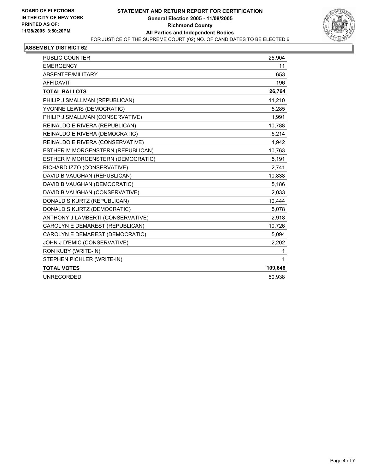

| <b>PUBLIC COUNTER</b>             | 25,904  |
|-----------------------------------|---------|
| <b>EMERGENCY</b>                  | 11      |
| ABSENTEE/MILITARY                 | 653     |
| <b>AFFIDAVIT</b>                  | 196     |
| <b>TOTAL BALLOTS</b>              | 26,764  |
| PHILIP J SMALLMAN (REPUBLICAN)    | 11,210  |
| YVONNE LEWIS (DEMOCRATIC)         | 5,285   |
| PHILIP J SMALLMAN (CONSERVATIVE)  | 1.991   |
| REINALDO E RIVERA (REPUBLICAN)    | 10,788  |
| REINALDO E RIVERA (DEMOCRATIC)    | 5,214   |
| REINALDO E RIVERA (CONSERVATIVE)  | 1,942   |
| ESTHER M MORGENSTERN (REPUBLICAN) | 10,763  |
| ESTHER M MORGENSTERN (DEMOCRATIC) | 5,191   |
| RICHARD IZZO (CONSERVATIVE)       | 2,741   |
| DAVID B VAUGHAN (REPUBLICAN)      | 10,838  |
| DAVID B VAUGHAN (DEMOCRATIC)      | 5,186   |
| DAVID B VAUGHAN (CONSERVATIVE)    | 2,033   |
| DONALD S KURTZ (REPUBLICAN)       | 10,444  |
| DONALD S KURTZ (DEMOCRATIC)       | 5,078   |
| ANTHONY J LAMBERTI (CONSERVATIVE) | 2,918   |
| CAROLYN E DEMAREST (REPUBLICAN)   | 10,726  |
| CAROLYN E DEMAREST (DEMOCRATIC)   | 5,094   |
| JOHN J D'EMIC (CONSERVATIVE)      | 2,202   |
| RON KUBY (WRITE-IN)               | 1       |
| STEPHEN PICHLER (WRITE-IN)        | 1       |
| <b>TOTAL VOTES</b>                | 109,646 |
| <b>UNRECORDED</b>                 | 50,938  |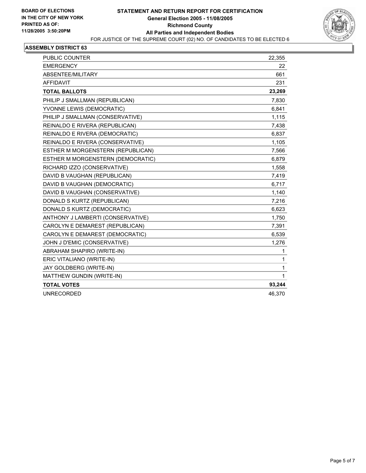

| PUBLIC COUNTER                    | 22,355      |
|-----------------------------------|-------------|
| <b>EMERGENCY</b>                  | 22          |
| ABSENTEE/MILITARY                 | 661         |
| <b>AFFIDAVIT</b>                  | 231         |
| <b>TOTAL BALLOTS</b>              | 23,269      |
| PHILIP J SMALLMAN (REPUBLICAN)    | 7,830       |
| YVONNE LEWIS (DEMOCRATIC)         | 6,841       |
| PHILIP J SMALLMAN (CONSERVATIVE)  | 1,115       |
| REINALDO E RIVERA (REPUBLICAN)    | 7,438       |
| REINALDO E RIVERA (DEMOCRATIC)    | 6,837       |
| REINALDO E RIVERA (CONSERVATIVE)  | 1,105       |
| ESTHER M MORGENSTERN (REPUBLICAN) | 7,566       |
| ESTHER M MORGENSTERN (DEMOCRATIC) | 6,879       |
| RICHARD IZZO (CONSERVATIVE)       | 1,558       |
| DAVID B VAUGHAN (REPUBLICAN)      | 7,419       |
| DAVID B VAUGHAN (DEMOCRATIC)      | 6,717       |
| DAVID B VAUGHAN (CONSERVATIVE)    | 1,140       |
| DONALD S KURTZ (REPUBLICAN)       | 7,216       |
| DONALD S KURTZ (DEMOCRATIC)       | 6,623       |
| ANTHONY J LAMBERTI (CONSERVATIVE) | 1,750       |
| CAROLYN E DEMAREST (REPUBLICAN)   | 7,391       |
| CAROLYN E DEMAREST (DEMOCRATIC)   | 6,539       |
| JOHN J D'EMIC (CONSERVATIVE)      | 1,276       |
| ABRAHAM SHAPIRO (WRITE-IN)        | 1           |
| ERIC VITALIANO (WRITE-IN)         | 1           |
| JAY GOLDBERG (WRITE-IN)           | 1           |
| MATTHEW GUNDIN (WRITE-IN)         | $\mathbf 1$ |
| <b>TOTAL VOTES</b>                | 93,244      |
| <b>UNRECORDED</b>                 | 46,370      |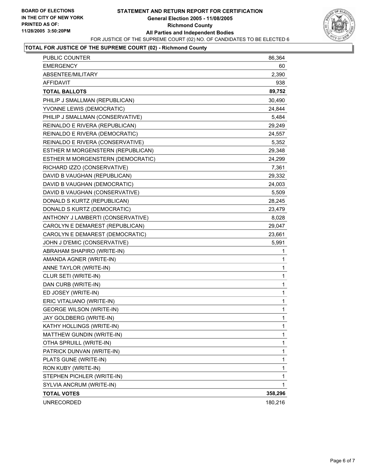### **STATEMENT AND RETURN REPORT FOR CERTIFICATION General Election 2005 - 11/08/2005 Richmond County All Parties and Independent Bodies** FOR JUSTICE OF THE SUPREME COURT (02) NO. OF CANDIDATES TO BE ELECTED 6



## **TOTAL FOR JUSTICE OF THE SUPREME COURT (02) - Richmond County**

| PUBLIC COUNTER                    | 86,364       |
|-----------------------------------|--------------|
| <b>EMERGENCY</b>                  | 60           |
| ABSENTEE/MILITARY                 | 2,390        |
| AFFIDAVIT                         | 938          |
| <b>TOTAL BALLOTS</b>              | 89,752       |
| PHILIP J SMALLMAN (REPUBLICAN)    | 30,490       |
| YVONNE LEWIS (DEMOCRATIC)         | 24,844       |
| PHILIP J SMALLMAN (CONSERVATIVE)  | 5,484        |
| REINALDO E RIVERA (REPUBLICAN)    | 29,249       |
| REINALDO E RIVERA (DEMOCRATIC)    | 24,557       |
| REINALDO E RIVERA (CONSERVATIVE)  | 5,352        |
| ESTHER M MORGENSTERN (REPUBLICAN) | 29,348       |
| ESTHER M MORGENSTERN (DEMOCRATIC) | 24,299       |
| RICHARD IZZO (CONSERVATIVE)       | 7,361        |
| DAVID B VAUGHAN (REPUBLICAN)      | 29,332       |
| DAVID B VAUGHAN (DEMOCRATIC)      | 24,003       |
| DAVID B VAUGHAN (CONSERVATIVE)    | 5,509        |
| DONALD S KURTZ (REPUBLICAN)       | 28,245       |
| DONALD S KURTZ (DEMOCRATIC)       | 23,479       |
| ANTHONY J LAMBERTI (CONSERVATIVE) | 8,028        |
| CAROLYN E DEMAREST (REPUBLICAN)   | 29,047       |
| CAROLYN E DEMAREST (DEMOCRATIC)   | 23,661       |
| JOHN J D'EMIC (CONSERVATIVE)      | 5,991        |
| ABRAHAM SHAPIRO (WRITE-IN)        | 1            |
| AMANDA AGNER (WRITE-IN)           | 1            |
| ANNE TAYLOR (WRITE-IN)            | 1            |
| CLUR SETI (WRITE-IN)              | 1            |
| DAN CURB (WRITE-IN)               | 1            |
| ED JOSEY (WRITE-IN)               | 1            |
| ERIC VITALIANO (WRITE-IN)         | $\mathbf{1}$ |
| <b>GEORGE WILSON (WRITE-IN)</b>   | 1            |
| JAY GOLDBERG (WRITE-IN)           | 1            |
| KATHY HOLLINGS (WRITE-IN)         | 1            |
| MATTHEW GUNDIN (WRITE-IN)         | 1            |
| OTHA SPRUILL (WRITE-IN)           | 1            |
| PATRICK DUNVAN (WRITE-IN)         | 1            |
| PLATS GUNE (WRITE-IN)             | 1            |
| RON KUBY (WRITE-IN)               | 1            |
| STEPHEN PICHLER (WRITE-IN)        | $\mathbf{1}$ |
| SYLVIA ANCRUM (WRITE-IN)          | 1            |
| <b>TOTAL VOTES</b>                | 358,296      |
| <b>UNRECORDED</b>                 | 180,216      |
|                                   |              |